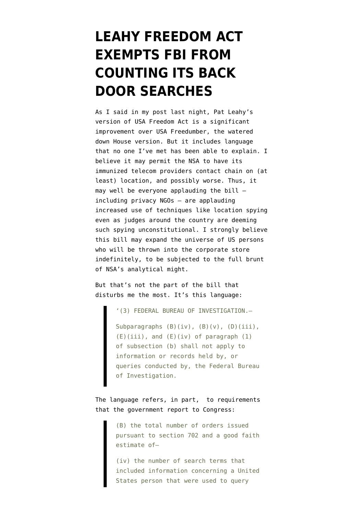## **[LEAHY FREEDOM ACT](https://www.emptywheel.net/2014/07/29/leahy-freedom-act-permits-fbis-continued-uncounted-use-of-back-door-searches/) [EXEMPTS FBI FROM](https://www.emptywheel.net/2014/07/29/leahy-freedom-act-permits-fbis-continued-uncounted-use-of-back-door-searches/) [COUNTING ITS BACK](https://www.emptywheel.net/2014/07/29/leahy-freedom-act-permits-fbis-continued-uncounted-use-of-back-door-searches/) [DOOR SEARCHES](https://www.emptywheel.net/2014/07/29/leahy-freedom-act-permits-fbis-continued-uncounted-use-of-back-door-searches/)**

As I said in [my post last night,](http://www.emptywheel.net/2014/07/28/improved-usa-freedom-retains-connection-chaining-and-foreign-intelligence-retention/) Pat Leahy's [version of USA Freedom Act](http://www.leahy.senate.gov/download/hen14602) is a significant improvement over USA Freedumber, the watered down House version. But it includes language that no one I've met has been able to explain. I believe it may permit the NSA to have its immunized telecom providers contact chain on (at least) location, and possibly worse. Thus, it may well be everyone applauding the bill  $$ including privacy NGOs — are applauding increased use of techniques like location spying even as judges around the country are deeming such spying unconstitutional. I strongly believe this bill may expand the universe of US persons who will be thrown into the corporate store indefinitely, to be subjected to the full brunt of NSA's analytical might.

But that's not the part of the bill that disturbs me the most. It's this language:

'(3) FEDERAL BUREAU OF INVESTIGATION.—

Subparagraphs (B)(iv), (B)(v), (D)(iii), (E)(iii), and (E)(iv) of paragraph (1) of subsection (b) shall not apply to information or records held by, or queries conducted by, the Federal Bureau of Investigation.

The language refers, in part, to requirements that the government report to Congress:

> (B) the total number of orders issued pursuant to section 702 and a good faith estimate of—

> (iv) the number of search terms that included information concerning a United States person that were used to query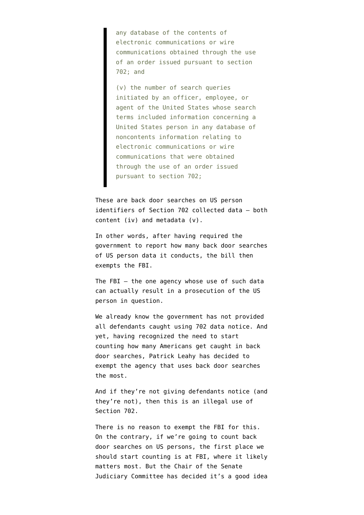any database of the contents of electronic communications or wire communications obtained through the use of an order issued pursuant to section 702; and

(v) the number of search queries initiated by an officer, employee, or agent of the United States whose search terms included information concerning a United States person in any database of noncontents information relating to electronic communications or wire communications that were obtained through the use of an order issued pursuant to section 702;

These are back door searches on US person identifiers of Section 702 collected data — both content (iv) and metadata (v).

In other words, after having required the government to report how many back door searches of US person data it conducts, the bill then exempts the FBI.

The FBI  $-$  the one agency whose use of such data can actually result in a prosecution of the US person in question.

We already know the government has not provided all defendants caught using 702 data notice. And yet, having recognized the need to start counting how many Americans get caught in back door searches, Patrick Leahy has decided to exempt the agency that uses back door searches the most.

And if they're not giving defendants notice (and they're not), then this is an illegal use of Section 702.

There is no reason to exempt the FBI for this. On the contrary, if we're going to count back door searches on US persons, the first place we should start counting is at FBI, where it likely matters most. But the Chair of the Senate Judiciary Committee has decided it's a good idea